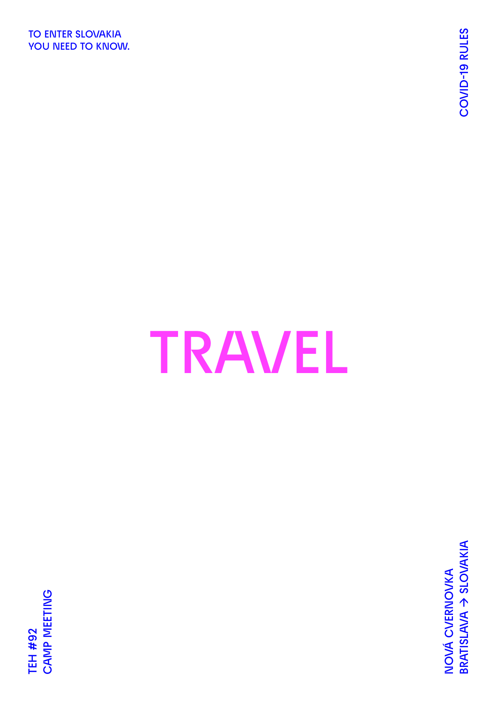**TO ENTER SLOVAKIA YOU NEED TO KNOW.**

# **TRAVEL**

**BRATISLAVA → SLOVAKIA COVID-19 RULES** BRATISLAVA > SLOVAKIA NOVÁ CVERNOVKA **NOVÁ CVERNOVKA**

**CAMP MEETING CAMP MEETING TEH #92 TEH #92**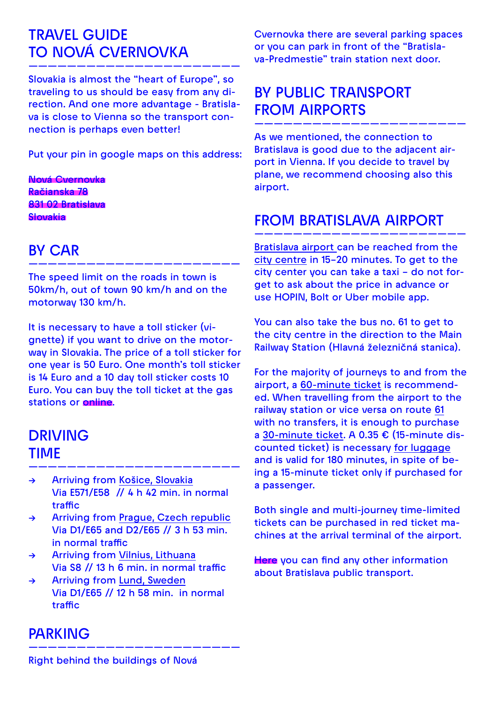# **TRAVEL GUIDE TO NOVÁ CVERNOVKA**

**Slovakia is almost the "heart of Europe", so traveling to us should be easy from any direction. And one more advantage - Bratislava is close to Vienna so the transport connection is perhaps even better!**

**——————————————————————**

**Put your pin in google maps on this address:** 

**Nová Cvernovka Račianska 78 831 02 Bratislava Slovakia**

# **BY CAR**

**The speed limit on the roads in town is 50km/h, out of town 90 km/h and on the motorway 130 km/h.**

**——————————————————————**

**It is necessary to have a toll sticker (vignette) if you want to drive on the motorway in Slovakia. The price of a toll sticker for one year is 50 Euro. One month's toll sticker is 14 Euro and a 10 day toll sticker costs 10 Euro. You can buy the toll ticket at the gas stations or [online.](https://eznamka.sk/en)**

# **DRIVING TIME**

**→ Arriving from Košice, Slovakia Via E571/E58 // 4 h 42 min. in normal traffic**

**——————————————————————**

- **→ Arriving from Prague, Czech republic Via D1/E65 and D2/E65 // 3 h 53 min. in normal traffic**
- **→ Arriving from Vilnius, Lithuana Via S8 // 13 h 6 min. in normal traffic**
- **→ Arriving from Lund, Sweden Via D1/E65 // 12 h 58 min. in normal traffic**

**——————————————————————**

### **PARKING**

**Cvernovka there are several parking spaces or you can park in front of the "Bratislava-Predmestie" train station next door.**

# **BY PUBLIC TRANSPORT FROM AIRPORTS**

**As we mentioned, the connection to Bratislava is good due to the adjacent airport in Vienna. If you decide to travel by plane, we recommend choosing also this airport.**

**——————————————————————**

#### **FROM BRATISLAVA AIRPORT**

**Bratislava airport can be reached from the city centre in 15–20 minutes. To get to the city center you can take a taxi – do not forget to ask about the price in advance or use HOPIN, Bolt or Uber mobile app.**

**——————————————————————**

**You can also take the bus no. 61 to get to the city centre in the direction to the Main Railway Station (Hlavná železničná stanica).**

**For the majority of journeys to and from the airport, a 60-minute ticket is recommended. When travelling from the airport to the railway station or vice versa on route 61 with no transfers, it is enough to purchase a 30-minute ticket. A 0.35 € (15-minute discounted ticket) is necessary for luggage and is valid for 180 minutes, in spite of being a 15-minute ticket only if purchased for a passenger.**

**Both single and multi-journey time-limited tickets can be purchased in red ticket machines at the arrival terminal of the airport.**

**[Here](https://imhd.sk/ba/public-transport) you can find any other information about Bratislava public transport.**

**Right behind the buildings of Nová**